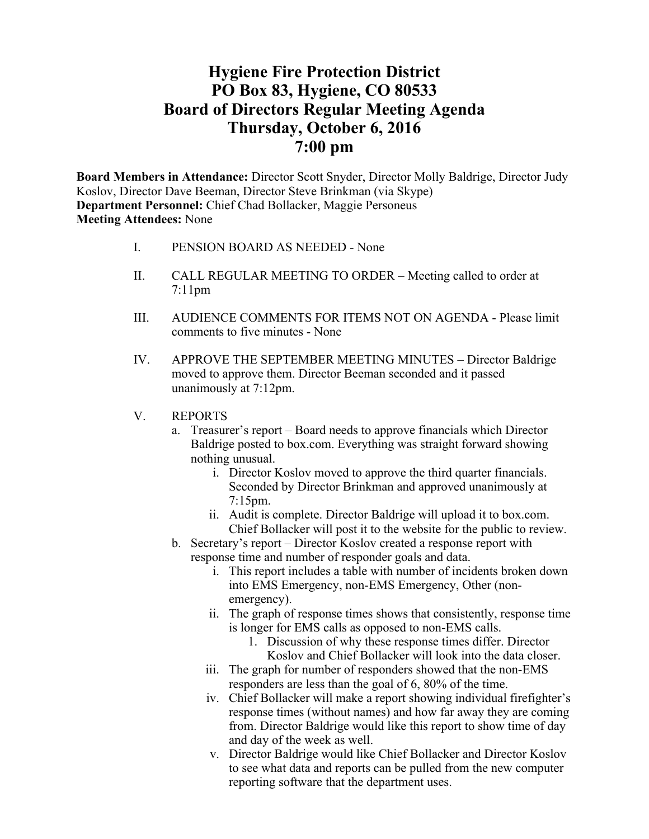# **Hygiene Fire Protection District PO Box 83, Hygiene, CO 80533 Board of Directors Regular Meeting Agenda Thursday, October 6, 2016 7:00 pm**

**Board Members in Attendance:** Director Scott Snyder, Director Molly Baldrige, Director Judy Koslov, Director Dave Beeman, Director Steve Brinkman (via Skype) **Department Personnel:** Chief Chad Bollacker, Maggie Personeus **Meeting Attendees:** None

- I. PENSION BOARD AS NEEDED None
- II. CALL REGULAR MEETING TO ORDER Meeting called to order at 7:11pm
- III. AUDIENCE COMMENTS FOR ITEMS NOT ON AGENDA Please limit comments to five minutes - None
- IV. APPROVE THE SEPTEMBER MEETING MINUTES Director Baldrige moved to approve them. Director Beeman seconded and it passed unanimously at 7:12pm.
- V. REPORTS
	- a. Treasurer's report Board needs to approve financials which Director Baldrige posted to box.com. Everything was straight forward showing nothing unusual.
		- i. Director Koslov moved to approve the third quarter financials. Seconded by Director Brinkman and approved unanimously at 7:15pm.
		- ii. Audit is complete. Director Baldrige will upload it to box.com. Chief Bollacker will post it to the website for the public to review.
	- b. Secretary's report Director Koslov created a response report with response time and number of responder goals and data.
		- i. This report includes a table with number of incidents broken down into EMS Emergency, non-EMS Emergency, Other (nonemergency).
		- ii. The graph of response times shows that consistently, response time is longer for EMS calls as opposed to non-EMS calls.
			- 1. Discussion of why these response times differ. Director Koslov and Chief Bollacker will look into the data closer.
		- iii. The graph for number of responders showed that the non-EMS responders are less than the goal of 6, 80% of the time.
		- iv. Chief Bollacker will make a report showing individual firefighter's response times (without names) and how far away they are coming from. Director Baldrige would like this report to show time of day and day of the week as well.
		- v. Director Baldrige would like Chief Bollacker and Director Koslov to see what data and reports can be pulled from the new computer reporting software that the department uses.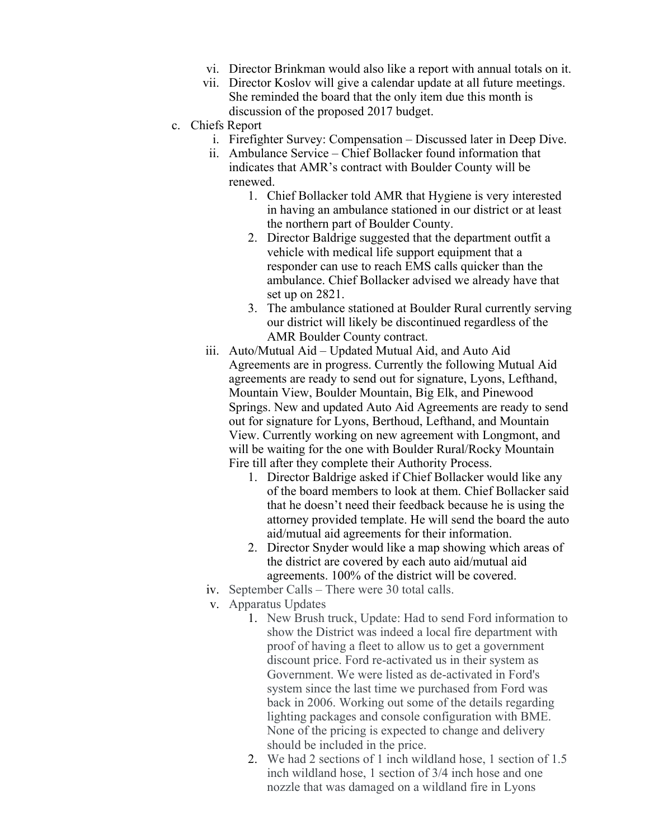- vi. Director Brinkman would also like a report with annual totals on it.
- vii. Director Koslov will give a calendar update at all future meetings. She reminded the board that the only item due this month is discussion of the proposed 2017 budget.
- c. Chiefs Report
	- i. Firefighter Survey: Compensation Discussed later in Deep Dive.
	- ii. Ambulance Service Chief Bollacker found information that indicates that AMR's contract with Boulder County will be renewed.
		- 1. Chief Bollacker told AMR that Hygiene is very interested in having an ambulance stationed in our district or at least the northern part of Boulder County.
		- 2. Director Baldrige suggested that the department outfit a vehicle with medical life support equipment that a responder can use to reach EMS calls quicker than the ambulance. Chief Bollacker advised we already have that set up on 2821.
		- 3. The ambulance stationed at Boulder Rural currently serving our district will likely be discontinued regardless of the AMR Boulder County contract.
	- iii. Auto/Mutual Aid Updated Mutual Aid, and Auto Aid Agreements are in progress. Currently the following Mutual Aid agreements are ready to send out for signature, Lyons, Lefthand, Mountain View, Boulder Mountain, Big Elk, and Pinewood Springs. New and updated Auto Aid Agreements are ready to send out for signature for Lyons, Berthoud, Lefthand, and Mountain View. Currently working on new agreement with Longmont, and will be waiting for the one with Boulder Rural/Rocky Mountain Fire till after they complete their Authority Process.
		- 1. Director Baldrige asked if Chief Bollacker would like any of the board members to look at them. Chief Bollacker said that he doesn't need their feedback because he is using the attorney provided template. He will send the board the auto aid/mutual aid agreements for their information.
		- 2. Director Snyder would like a map showing which areas of the district are covered by each auto aid/mutual aid agreements. 100% of the district will be covered.
	- iv. September Calls There were 30 total calls.
	- v. Apparatus Updates
		- 1. New Brush truck, Update: Had to send Ford information to show the District was indeed a local fire department with proof of having a fleet to allow us to get a government discount price. Ford re-activated us in their system as Government. We were listed as de-activated in Ford's system since the last time we purchased from Ford was back in 2006. Working out some of the details regarding lighting packages and console configuration with BME. None of the pricing is expected to change and delivery should be included in the price.
		- 2. We had 2 sections of 1 inch wildland hose, 1 section of 1.5 inch wildland hose, 1 section of 3/4 inch hose and one nozzle that was damaged on a wildland fire in Lyons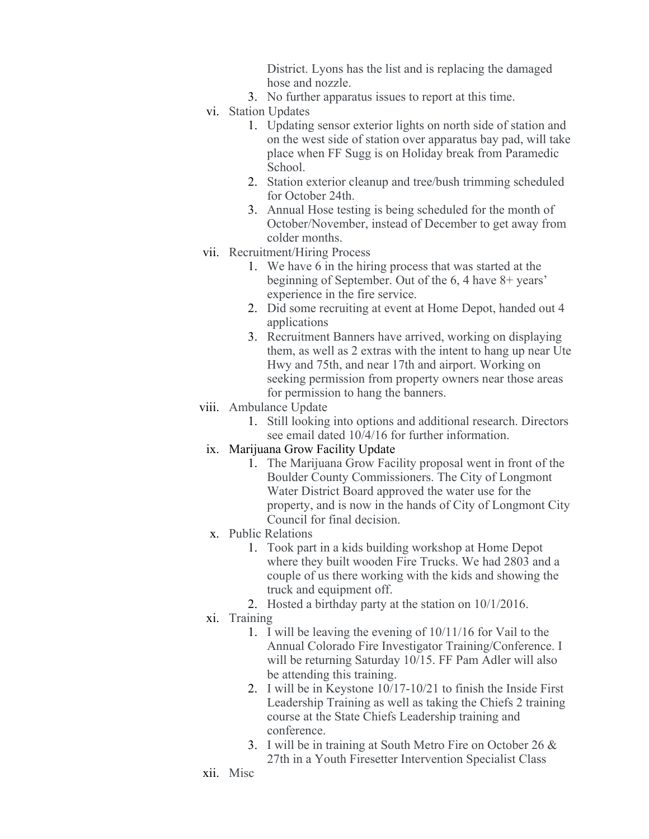District. Lyons has the list and is replacing the damaged hose and nozzle.

- 3. No further apparatus issues to report at this time.
- vi. Station Updates
	- 1. Updating sensor exterior lights on north side of station and on the west side of station over apparatus bay pad, will take place when FF Sugg is on Holiday break from Paramedic School.
	- 2. Station exterior cleanup and tree/bush trimming scheduled for October 24th.
	- 3. Annual Hose testing is being scheduled for the month of October/November, instead of December to get away from colder months.
- vii. Recruitment/Hiring Process
	- 1. We have 6 in the hiring process that was started at the beginning of September. Out of the 6, 4 have 8+ years' experience in the fire service.
	- 2. Did some recruiting at event at Home Depot, handed out 4 applications
	- 3. Recruitment Banners have arrived, working on displaying them, as well as 2 extras with the intent to hang up near Ute Hwy and 75th, and near 17th and airport. Working on seeking permission from property owners near those areas for permission to hang the banners.

## viii. Ambulance Update

- 1. Still looking into options and additional research. Directors see email dated 10/4/16 for further information.
- ix. Marijuana Grow Facility Update
	- 1. The Marijuana Grow Facility proposal went in front of the Boulder County Commissioners. The City of Longmont Water District Board approved the water use for the property, and is now in the hands of City of Longmont City Council for final decision.
- x. Public Relations
	- 1. Took part in a kids building workshop at Home Depot where they built wooden Fire Trucks. We had 2803 and a couple of us there working with the kids and showing the truck and equipment off.
	- 2. Hosted a birthday party at the station on 10/1/2016.
- xi. Training
	- 1. I will be leaving the evening of 10/11/16 for Vail to the Annual Colorado Fire Investigator Training/Conference. I will be returning Saturday 10/15. FF Pam Adler will also be attending this training.
	- 2. I will be in Keystone 10/17-10/21 to finish the Inside First Leadership Training as well as taking the Chiefs 2 training course at the State Chiefs Leadership training and conference.
	- 3. I will be in training at South Metro Fire on October 26 & 27th in a Youth Firesetter Intervention Specialist Class
- xii. Misc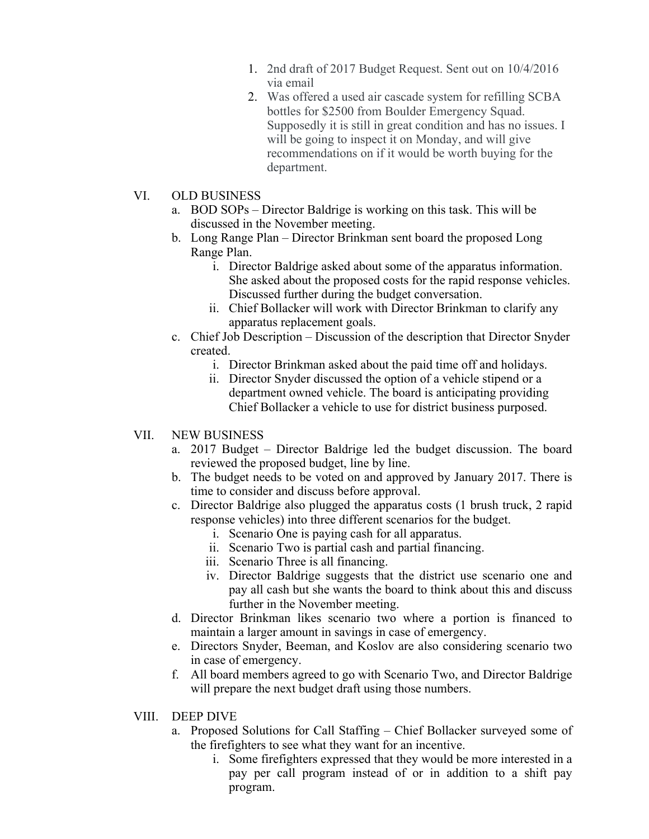- 1. 2nd draft of 2017 Budget Request. Sent out on 10/4/2016 via email
- 2. Was offered a used air cascade system for refilling SCBA bottles for \$2500 from Boulder Emergency Squad. Supposedly it is still in great condition and has no issues. I will be going to inspect it on Monday, and will give recommendations on if it would be worth buying for the department.

## VI. OLD BUSINESS

- a. BOD SOPs Director Baldrige is working on this task. This will be discussed in the November meeting.
- b. Long Range Plan Director Brinkman sent board the proposed Long Range Plan.
	- i. Director Baldrige asked about some of the apparatus information. She asked about the proposed costs for the rapid response vehicles. Discussed further during the budget conversation.
	- ii. Chief Bollacker will work with Director Brinkman to clarify any apparatus replacement goals.
- c. Chief Job Description Discussion of the description that Director Snyder created.
	- i. Director Brinkman asked about the paid time off and holidays.
	- ii. Director Snyder discussed the option of a vehicle stipend or a department owned vehicle. The board is anticipating providing Chief Bollacker a vehicle to use for district business purposed.

# VII. NEW BUSINESS

- a. 2017 Budget Director Baldrige led the budget discussion. The board reviewed the proposed budget, line by line.
- b. The budget needs to be voted on and approved by January 2017. There is time to consider and discuss before approval.
- c. Director Baldrige also plugged the apparatus costs (1 brush truck, 2 rapid response vehicles) into three different scenarios for the budget.
	- i. Scenario One is paying cash for all apparatus.
	- ii. Scenario Two is partial cash and partial financing.
	- iii. Scenario Three is all financing.
	- iv. Director Baldrige suggests that the district use scenario one and pay all cash but she wants the board to think about this and discuss further in the November meeting.
- d. Director Brinkman likes scenario two where a portion is financed to maintain a larger amount in savings in case of emergency.
- e. Directors Snyder, Beeman, and Koslov are also considering scenario two in case of emergency.
- f. All board members agreed to go with Scenario Two, and Director Baldrige will prepare the next budget draft using those numbers.

## VIII. DEEP DIVE

- a. Proposed Solutions for Call Staffing Chief Bollacker surveyed some of the firefighters to see what they want for an incentive.
	- i. Some firefighters expressed that they would be more interested in a pay per call program instead of or in addition to a shift pay program.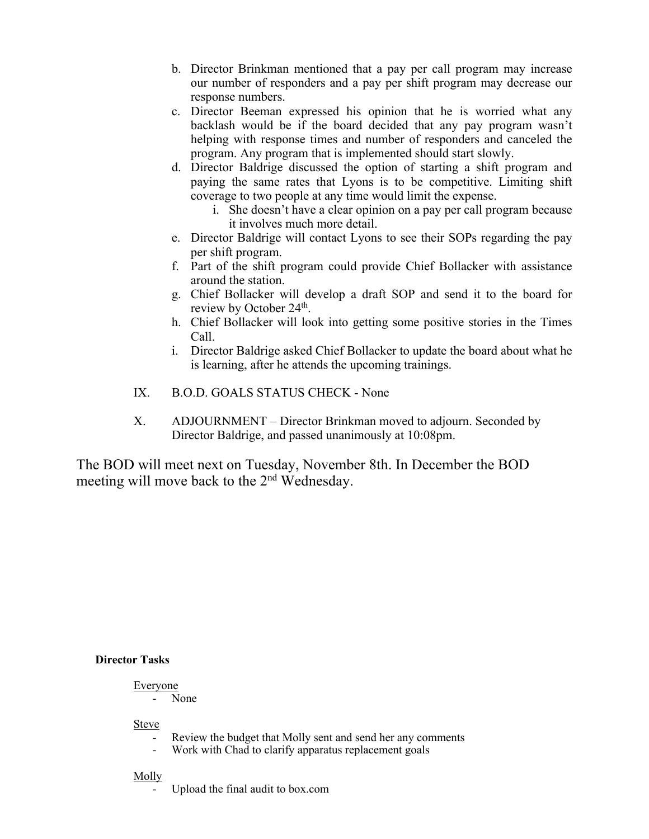- b. Director Brinkman mentioned that a pay per call program may increase our number of responders and a pay per shift program may decrease our response numbers.
- c. Director Beeman expressed his opinion that he is worried what any backlash would be if the board decided that any pay program wasn't helping with response times and number of responders and canceled the program. Any program that is implemented should start slowly.
- d. Director Baldrige discussed the option of starting a shift program and paying the same rates that Lyons is to be competitive. Limiting shift coverage to two people at any time would limit the expense.
	- i. She doesn't have a clear opinion on a pay per call program because it involves much more detail.
- e. Director Baldrige will contact Lyons to see their SOPs regarding the pay per shift program.
- f. Part of the shift program could provide Chief Bollacker with assistance around the station.
- g. Chief Bollacker will develop a draft SOP and send it to the board for review by October 24<sup>th</sup>.
- h. Chief Bollacker will look into getting some positive stories in the Times Call.
- i. Director Baldrige asked Chief Bollacker to update the board about what he is learning, after he attends the upcoming trainings.
- IX. B.O.D. GOALS STATUS CHECK None
- X. ADJOURNMENT Director Brinkman moved to adjourn. Seconded by Director Baldrige, and passed unanimously at 10:08pm.

The BOD will meet next on Tuesday, November 8th. In December the BOD meeting will move back to the 2nd Wednesday.

## **Director Tasks**

# Everyone

- None

Steve

- Review the budget that Molly sent and send her any comments
- Work with Chad to clarify apparatus replacement goals

## Molly

Upload the final audit to box.com